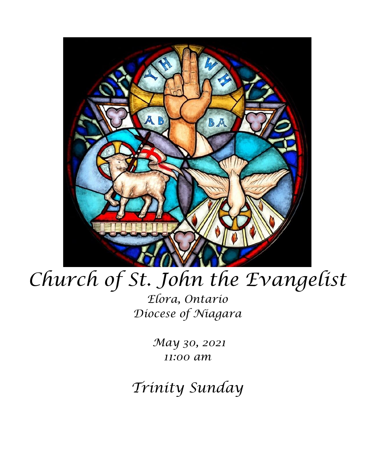

# *Church of St. John the Evangelist*

*Elora, Ontario Diocese of Niagara*

> *May 30, 2021 11:00 am*

*Trinity Sunday*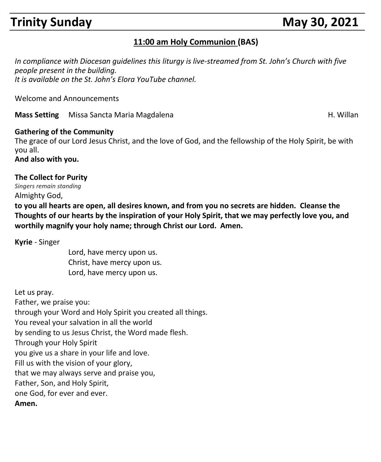# **Trinity Sunday May 30, 2021**

#### **11:00 am Holy Communion (BAS)**

*In compliance with Diocesan guidelines this liturgy is live-streamed from St. John's Church with five people present in the building. It is available on the St. John's Elora YouTube channel.*

Welcome and Announcements

**Mass Setting** Missa Sancta Maria Magdalena **H. Willan** H. Willan

#### **Gathering of the Community**

The grace of our Lord Jesus Christ, and the love of God, and the fellowship of the Holy Spirit, be with you all.

**And also with you.**

#### **The Collect for Purity**

*Singers remain standing* Almighty God,

**to you all hearts are open, all desires known, and from you no secrets are hidden. Cleanse the Thoughts of our hearts by the inspiration of your Holy Spirit, that we may perfectly love you, and worthily magnify your holy name; through Christ our Lord. Amen.**

**Kyrie** - Singer

Lord, have mercy upon us. Christ, have mercy upon us. Lord, have mercy upon us.

Let us pray. Father, we praise you: through your Word and Holy Spirit you created all things. You reveal your salvation in all the world by sending to us Jesus Christ, the Word made flesh. Through your Holy Spirit you give us a share in your life and love. Fill us with the vision of your glory, that we may always serve and praise you, Father, Son, and Holy Spirit, one God, for ever and ever. **Amen.**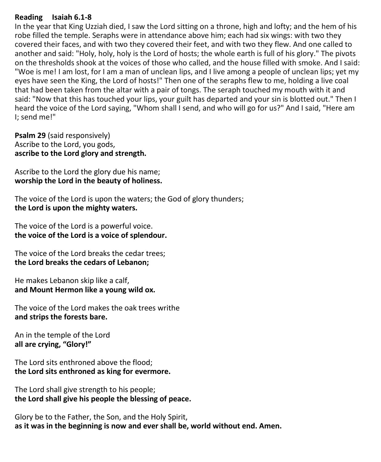#### **Reading Isaiah 6.1-8**

In the year that King Uzziah died, I saw the Lord sitting on a throne, high and lofty; and the hem of his robe filled the temple. Seraphs were in attendance above him; each had six wings: with two they covered their faces, and with two they covered their feet, and with two they flew. And one called to another and said: "Holy, holy, holy is the Lord of hosts; the whole earth is full of his glory." The pivots on the thresholds shook at the voices of those who called, and the house filled with smoke. And I said: "Woe is me! I am lost, for I am a man of unclean lips, and I live among a people of unclean lips; yet my eyes have seen the King, the Lord of hosts!" Then one of the seraphs flew to me, holding a live coal that had been taken from the altar with a pair of tongs. The seraph touched my mouth with it and said: "Now that this has touched your lips, your guilt has departed and your sin is blotted out." Then I heard the voice of the Lord saying, "Whom shall I send, and who will go for us?" And I said, "Here am I; send me!"

**Psalm 29** (said responsively) Ascribe to the Lord, you gods, **ascribe to the Lord glory and strength.**

Ascribe to the Lord the glory due his name; **worship the Lord in the beauty of holiness.**

The voice of the Lord is upon the waters; the God of glory thunders; **the Lord is upon the mighty waters.**

The voice of the Lord is a powerful voice. **the voice of the Lord is a voice of splendour.**

The voice of the Lord breaks the cedar trees; **the Lord breaks the cedars of Lebanon;**

He makes Lebanon skip like a calf, **and Mount Hermon like a young wild ox.**

The voice of the Lord makes the oak trees writhe **and strips the forests bare.**

An in the temple of the Lord **all are crying, "Glory!"**

The Lord sits enthroned above the flood; **the Lord sits enthroned as king for evermore.**

The Lord shall give strength to his people; **the Lord shall give his people the blessing of peace.**

Glory be to the Father, the Son, and the Holy Spirit, **as it was in the beginning is now and ever shall be, world without end. Amen.**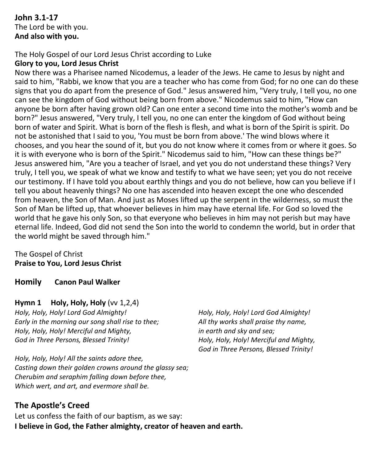#### **John 3.1-17** The Lord be with you. **And also with you.**

#### The Holy Gospel of our Lord Jesus Christ according to Luke

#### **Glory to you, Lord Jesus Christ**

Now there was a Pharisee named Nicodemus, a leader of the Jews. He came to Jesus by night and said to him, "Rabbi, we know that you are a teacher who has come from God; for no one can do these signs that you do apart from the presence of God." Jesus answered him, "Very truly, I tell you, no one can see the kingdom of God without being born from above." Nicodemus said to him, "How can anyone be born after having grown old? Can one enter a second time into the mother's womb and be born?" Jesus answered, "Very truly, I tell you, no one can enter the kingdom of God without being born of water and Spirit. What is born of the flesh is flesh, and what is born of the Spirit is spirit. Do not be astonished that I said to you, 'You must be born from above.' The wind blows where it chooses, and you hear the sound of it, but you do not know where it comes from or where it goes. So it is with everyone who is born of the Spirit." Nicodemus said to him, "How can these things be?" Jesus answered him, "Are you a teacher of Israel, and yet you do not understand these things? Very truly, I tell you, we speak of what we know and testify to what we have seen; yet you do not receive our testimony. If I have told you about earthly things and you do not believe, how can you believe if I tell you about heavenly things? No one has ascended into heaven except the one who descended from heaven, the Son of Man. And just as Moses lifted up the serpent in the wilderness, so must the Son of Man be lifted up, that whoever believes in him may have eternal life. For God so loved the world that he gave his only Son, so that everyone who believes in him may not perish but may have eternal life. Indeed, God did not send the Son into the world to condemn the world, but in order that the world might be saved through him."

#### The Gospel of Christ **Praise to You, Lord Jesus Christ**

**Homily Canon Paul Walker**

#### **Hymn 1 Holy, Holy, Holy** (vv 1,2,4)

*Holy, Holy, Holy! Lord God Almighty! Early in the morning our song shall rise to thee; Holy, Holy, Holy! Merciful and Mighty, God in Three Persons, Blessed Trinity!*

*Holy, Holy, Holy! All the saints adore thee, Casting down their golden crowns around the glassy sea; Cherubim and seraphim falling down before thee, Which wert, and art, and evermore shall be.*

### **The Apostle's Creed**

Let us confess the faith of our baptism, as we say: **I believe in God, the Father almighty, creator of heaven and earth.** 

*Holy, Holy, Holy! Lord God Almighty! All thy works shall praise thy name, in earth and sky and sea; Holy, Holy, Holy! Merciful and Mighty, God in Three Persons, Blessed Trinity!*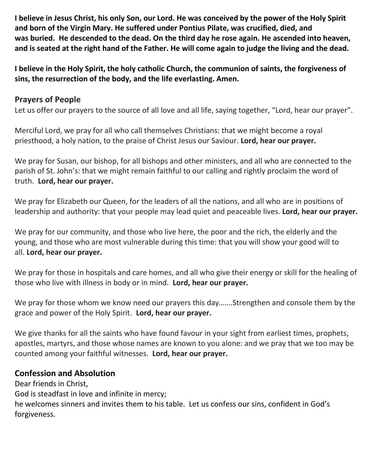**I believe in Jesus Christ, his only Son, our Lord. He was conceived by the power of the Holy Spirit and born of the Virgin Mary. He suffered under Pontius Pilate, was crucified, died, and was buried. He descended to the dead. On the third day he rose again. He ascended into heaven, and is seated at the right hand of the Father. He will come again to judge the living and the dead.**

**I believe in the Holy Spirit, the holy catholic Church, the communion of saints, the forgiveness of sins, the resurrection of the body, and the life everlasting. Amen.**

#### **Prayers of People**

Let us offer our prayers to the source of all love and all life, saying together, "Lord, hear our prayer".

Merciful Lord, we pray for all who call themselves Christians: that we might become a royal priesthood, a holy nation, to the praise of Christ Jesus our Saviour. **Lord, hear our prayer.**

We pray for Susan, our bishop, for all bishops and other ministers, and all who are connected to the parish of St. John's: that we might remain faithful to our calling and rightly proclaim the word of truth. **Lord, hear our prayer.**

We pray for Elizabeth our Queen, for the leaders of all the nations, and all who are in positions of leadership and authority: that your people may lead quiet and peaceable lives. **Lord, hear our prayer.**

We pray for our community, and those who live here, the poor and the rich, the elderly and the young, and those who are most vulnerable during this time: that you will show your good will to all. **Lord, hear our prayer.**

We pray for those in hospitals and care homes, and all who give their energy or skill for the healing of those who live with illness in body or in mind. **Lord, hear our prayer.**

We pray for those whom we know need our prayers this day.......Strengthen and console them by the grace and power of the Holy Spirit. **Lord, hear our prayer.**

We give thanks for all the saints who have found favour in your sight from earliest times, prophets, apostles, martyrs, and those whose names are known to you alone: and we pray that we too may be counted among your faithful witnesses. **Lord, hear our prayer.**

#### **Confession and Absolution**

Dear friends in Christ, God is steadfast in love and infinite in mercy; he welcomes sinners and invites them to his table. Let us confess our sins, confident in God's forgiveness.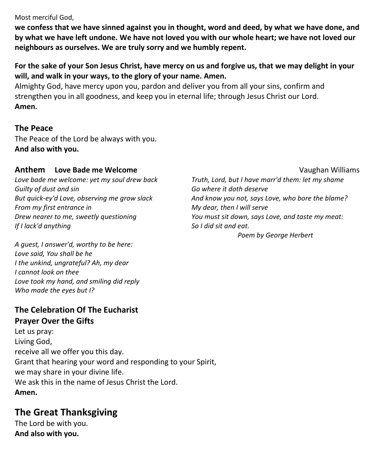Most merciful God,

**we confess that we have sinned against you in thought, word and deed, by what we have done, and by what we have left undone. We have not loved you with our whole heart; we have not loved our neighbours as ourselves. We are truly sorry and we humbly repent.**

#### **For the sake of your Son Jesus Christ, have mercy on us and forgive us, that we may delight in your will, and walk in your ways, to the glory of your name. Amen.**

Almighty God, have mercy upon you, pardon and deliver you from all your sins, confirm and strengthen you in all goodness, and keep you in eternal life; through Jesus Christ our Lord. **Amen.**

#### **The Peace**

The Peace of the Lord be always with you. **And also with you.**

#### **Anthem Love Bade me Welcome Construction Construction Construction Construction Construction Construction Construction Construction Construction Construction Construction Construction Construction Construction Constru**

*Love bade me welcome: yet my soul drew back Guilty of dust and sin But quick-ey'd Love, observing me grow slack From my first entrance in Drew nearer to me, sweetly questioning If I lack'd anything*

*A guest, I answer'd, worthy to be here: Love said, You shall be he I the unkind, ungrateful? Ah, my dear I cannot look on thee Love took my hand, and smiling did reply Who made the eyes but I?*

#### **The Celebration Of The Eucharist Prayer Over the Gifts**

Let us pray: Living God, receive all we offer you this day. Grant that hearing your word and responding to your Spirit, we may share in your divine life. We ask this in the name of Jesus Christ the Lord. **Amen.**

# **The Great Thanksgiving**

The Lord be with you. **And also with you.**

*Truth, Lord, but I have marr'd them: let my shame Go where it doth deserve And know you not, says Love, who bore the blame? My dear, then I will serve You must sit down, says Love, and taste my meat: So I did sit and eat.*

*Poem by George Herbert*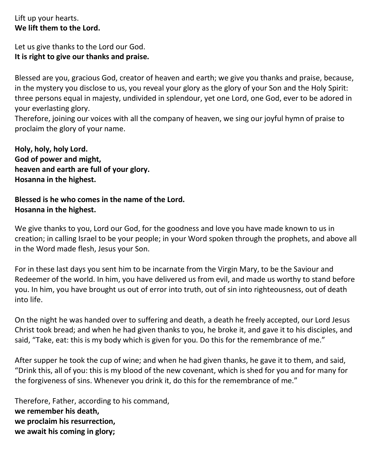Lift up your hearts. **We lift them to the Lord.**

Let us give thanks to the Lord our God. **It is right to give our thanks and praise.**

Blessed are you, gracious God, creator of heaven and earth; we give you thanks and praise, because, in the mystery you disclose to us, you reveal your glory as the glory of your Son and the Holy Spirit: three persons equal in majesty, undivided in splendour, yet one Lord, one God, ever to be adored in your everlasting glory.

Therefore, joining our voices with all the company of heaven, we sing our joyful hymn of praise to proclaim the glory of your name.

**Holy, holy, holy Lord. God of power and might, heaven and earth are full of your glory. Hosanna in the highest.**

#### **Blessed is he who comes in the name of the Lord. Hosanna in the highest.**

We give thanks to you, Lord our God, for the goodness and love you have made known to us in creation; in calling Israel to be your people; in your Word spoken through the prophets, and above all in the Word made flesh, Jesus your Son.

For in these last days you sent him to be incarnate from the Virgin Mary, to be the Saviour and Redeemer of the world. In him, you have delivered us from evil, and made us worthy to stand before you. In him, you have brought us out of error into truth, out of sin into righteousness, out of death into life.

On the night he was handed over to suffering and death, a death he freely accepted, our Lord Jesus Christ took bread; and when he had given thanks to you, he broke it, and gave it to his disciples, and said, "Take, eat: this is my body which is given for you. Do this for the remembrance of me."

After supper he took the cup of wine; and when he had given thanks, he gave it to them, and said, "Drink this, all of you: this is my blood of the new covenant, which is shed for you and for many for the forgiveness of sins. Whenever you drink it, do this for the remembrance of me."

Therefore, Father, according to his command, **we remember his death, we proclaim his resurrection, we await his coming in glory;**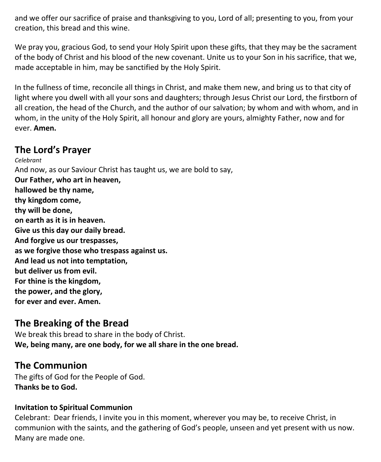and we offer our sacrifice of praise and thanksgiving to you, Lord of all; presenting to you, from your creation, this bread and this wine.

We pray you, gracious God, to send your Holy Spirit upon these gifts, that they may be the sacrament of the body of Christ and his blood of the new covenant. Unite us to your Son in his sacrifice, that we, made acceptable in him, may be sanctified by the Holy Spirit.

In the fullness of time, reconcile all things in Christ, and make them new, and bring us to that city of light where you dwell with all your sons and daughters; through Jesus Christ our Lord, the firstborn of all creation, the head of the Church, and the author of our salvation; by whom and with whom, and in whom, in the unity of the Holy Spirit, all honour and glory are yours, almighty Father, now and for ever. **Amen.**

## **The Lord's Prayer**

*Celebrant* And now, as our Saviour Christ has taught us, we are bold to say, **Our Father, who art in heaven, hallowed be thy name, thy kingdom come, thy will be done, on earth as it is in heaven. Give us this day our daily bread. And forgive us our trespasses, as we forgive those who trespass against us. And lead us not into temptation, but deliver us from evil. For thine is the kingdom, the power, and the glory, for ever and ever. Amen.**

# **The Breaking of the Bread**

We break this bread to share in the body of Christ. **We, being many, are one body, for we all share in the one bread.**

# **The Communion**

The gifts of God for the People of God. **Thanks be to God.**

#### **Invitation to Spiritual Communion**

Celebrant: Dear friends, I invite you in this moment, wherever you may be, to receive Christ, in communion with the saints, and the gathering of God's people, unseen and yet present with us now. Many are made one.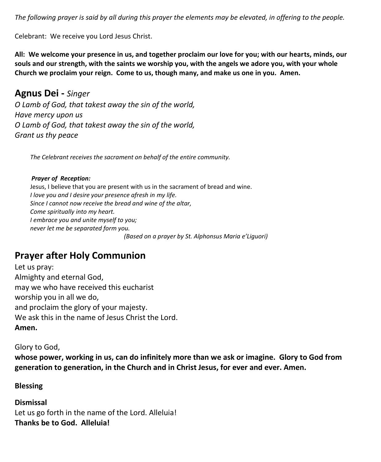*The following prayer is said by all during this prayer the elements may be elevated, in offering to the people.*

Celebrant: We receive you Lord Jesus Christ.

**All: We welcome your presence in us, and together proclaim our love for you; with our hearts, minds, our souls and our strength, with the saints we worship you, with the angels we adore you, with your whole Church we proclaim your reign. Come to us, though many, and make us one in you. Amen.**

**Agnus Dei -** *Singer O Lamb of God, that takest away the sin of the world, Have mercy upon us O Lamb of God, that takest away the sin of the world, Grant us thy peace*

 *The Celebrant receives the sacrament on behalf of the entire community.* 

#### *Prayer of Reception:*

Jesus, I believe that you are present with us in the sacrament of bread and wine. *I love you and I desire your presence afresh in my life. Since I cannot now receive the bread and wine of the altar, Come spiritually into my heart. I embrace you and unite myself to you; never let me be separated form you. (Based on a prayer by St. Alphonsus Maria e'Liguori)*

# **Prayer after Holy Communion**

Let us pray: Almighty and eternal God, may we who have received this eucharist worship you in all we do, and proclaim the glory of your majesty. We ask this in the name of Jesus Christ the Lord. **Amen.**

#### Glory to God,

**whose power, working in us, can do infinitely more than we ask or imagine. Glory to God from generation to generation, in the Church and in Christ Jesus, for ever and ever. Amen.**

#### **Blessing**

**Dismissal** Let us go forth in the name of the Lord. Alleluia! **Thanks be to God. Alleluia!**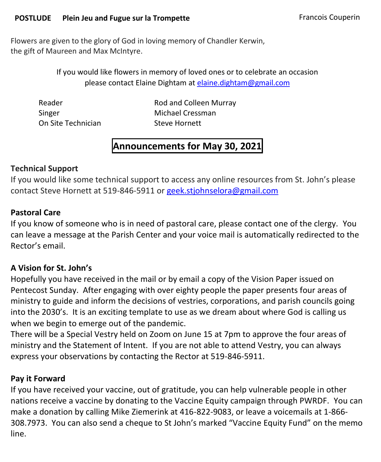#### **POSTLUDE** Plein Jeu and Fugue sur la Trompette **Francois Couperin**

Flowers are given to the glory of God in loving memory of Chandler Kerwin, the gift of Maureen and Max McIntyre.

> If you would like flowers in memory of loved ones or to celebrate an occasion please contact Elaine Dightam at [elaine.dightam@gmail.com](mailto:elaine.dightam@gmail.com)

Singer Michael Cressman On Site Technician Steve Hornett

Reader Reader Rod and Colleen Murray

# **Announcements for May 30, 2021**

#### **Technical Support**

If you would like some technical support to access any online resources from St. John's please contact Steve Hornett at 519-846-5911 or [geek.stjohnselora@gmail.com](mailto:geek.stjohnselora@gmail.com)

#### **Pastoral Care**

If you know of someone who is in need of pastoral care, please contact one of the clergy. You can leave a message at the Parish Center and your voice mail is automatically redirected to the Rector's email.

#### **A Vision for St. John's**

Hopefully you have received in the mail or by email a copy of the Vision Paper issued on Pentecost Sunday. After engaging with over eighty people the paper presents four areas of ministry to guide and inform the decisions of vestries, corporations, and parish councils going into the 2030's. It is an exciting template to use as we dream about where God is calling us when we begin to emerge out of the pandemic.

There will be a Special Vestry held on Zoom on June 15 at 7pm to approve the four areas of ministry and the Statement of Intent. If you are not able to attend Vestry, you can always express your observations by contacting the Rector at 519-846-5911.

#### **Pay it Forward**

If you have received your vaccine, out of gratitude, you can help vulnerable people in other nations receive a vaccine by donating to the Vaccine Equity campaign through PWRDF. You can make a donation by calling Mike Ziemerink at 416-822-9083, or leave a voicemails at 1-866- 308.7973. You can also send a cheque to St John's marked "Vaccine Equity Fund" on the memo line.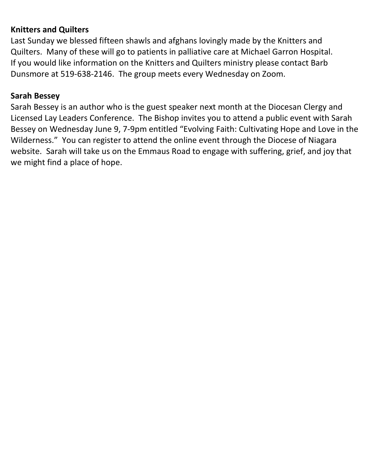### **Knitters and Quilters**

Last Sunday we blessed fifteen shawls and afghans lovingly made by the Knitters and Quilters. Many of these will go to patients in palliative care at Michael Garron Hospital. If you would like information on the Knitters and Quilters ministry please contact Barb Dunsmore at 519-638-2146. The group meets every Wednesday on Zoom.

#### **Sarah Bessey**

Sarah Bessey is an author who is the guest speaker next month at the Diocesan Clergy and Licensed Lay Leaders Conference. The Bishop invites you to attend a public event with Sarah Bessey on Wednesday June 9, 7-9pm entitled "Evolving Faith: Cultivating Hope and Love in the Wilderness." You can register to attend the online event through the Diocese of Niagara website. Sarah will take us on the Emmaus Road to engage with suffering, grief, and joy that we might find a place of hope.